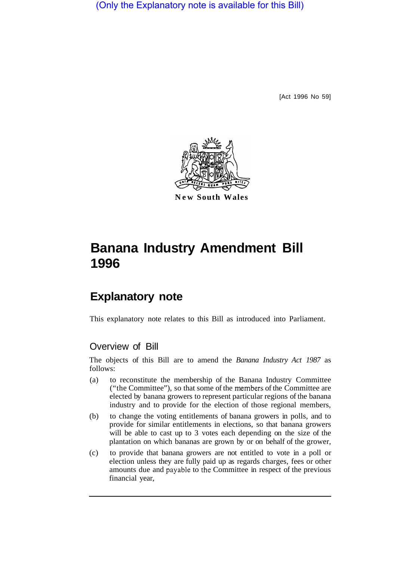(Only the Explanatory note is available for this Bill)

[Act 1996 No 59]



**New South Wales** 

# **Banana Industry Amendment Bill 1996**

# **Explanatory note**

This explanatory note relates to this Bill as introduced into Parliament.

# Overview of Bill

The objects of this Bill are to amend the *Banana Industry Act 1987* as follows:

- (a) to reconstitute the membership of the Banana Industry Committee ("the Committee"), so that some of the members of the Committee are elected by banana growers to represent particular regions of the banana industry and to provide for the election of those regional members,
- (b) to change the voting entitlements of banana growers in polls, and to provide for similar entitlements in elections, so that banana growers will be able to cast up to 3 votes each depending on the size of the plantation on which bananas are grown by or on behalf of the grower,
- (c) to provide that banana growers are not entitled to vote in a poll or election unless they are fully paid up as regards charges, fees or other amounts due and payable to the Committee in respect of the previous financial year,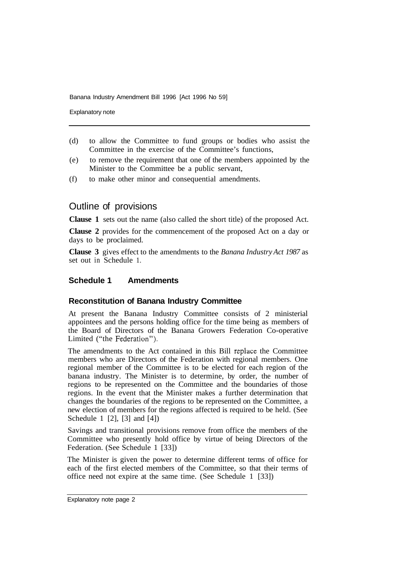Explanatory note

- (d) to allow the Committee to fund groups or bodies who assist the Committee in the exercise of the Committee's functions,
- (e) to remove the requirement that one of the members appointed by the Minister to the Committee be a public servant,
- (f) to make other minor and consequential amendments.

# Outline of provisions

**Clause 1** sets out the name (also called the short title) of the proposed Act.

**Clause 2** provides for the commencement of the proposed Act on a day or days to be proclaimed.

**Clause 3** gives effect to the amendments to the *Banana Industry Act 1987* as set out in Schedule 1.

#### **Schedule 1 Amendments**

#### **Reconstitution of Banana Industry Committee**

At present the Banana Industry Committee consists of 2 ministerial appointees and the persons holding office for the time being as members of the Board of Directors of the Banana Growers Federation Co-operative Limited ("the Federation").

The amendments to the Act contained in this Bill replace the Committee members who are Directors of the Federation with regional members. One regional member of the Committee is to be elected for each region of the banana industry. The Minister is to determine, by order, the number of regions to be represented on the Committee and the boundaries of those regions. In the event that the Minister makes a further determination that changes the boundaries of the regions to be represented on the Committee, a new election of members for the regions affected is required to be held. (See Schedule 1 [2], [3] and [4])

Savings and transitional provisions remove from office the members of the Committee who presently hold office by virtue of being Directors of the Federation. (See Schedule 1 [33])

The Minister is given the power to determine different terms of office for each of the first elected members of the Committee, so that their terms of office need not expire at the same time. (See Schedule 1 [33])

Explanatory note page 2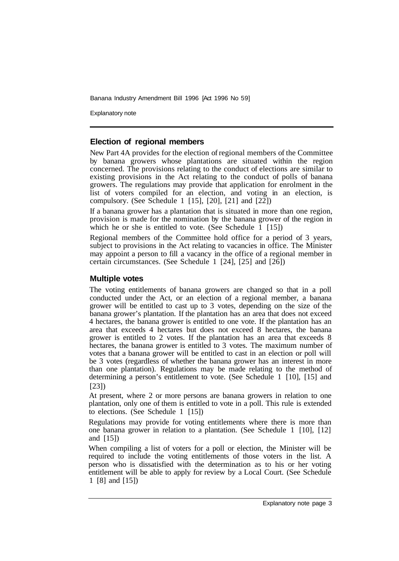Explanatory note

#### **Election of regional members**

New Part 4A provides for the election of regional members of the Committee by banana growers whose plantations are situated within the region concerned. The provisions relating to the conduct of elections are similar to existing provisions in the Act relating to the conduct of polls of banana growers. The regulations may provide that application for enrolment in the list of voters compiled for an election, and voting in an election, is compulsory. (See Schedule 1 [15], [20], [21] and [22])

If a banana grower has a plantation that is situated in more than one region, provision is made for the nomination by the banana grower of the region in which he or she is entitled to vote. (See Schedule  $\overline{1}$  [15])

Regional members of the Committee hold office for a period of 3 years, subject to provisions in the Act relating to vacancies in office. The Minister may appoint a person to fill a vacancy in the office of a regional member in certain circumstances. (See Schedule 1 [24], [25] and [26])

#### **Multiple votes**

The voting entitlements of banana growers are changed so that in a poll conducted under the Act, or an election of a regional member, a banana grower will be entitled to cast up to 3 votes, depending on the size of the banana grower's plantation. If the plantation has an area that does not exceed 4 hectares, the banana grower is entitled to one vote. If the plantation has an area that exceeds 4 hectares but does not exceed 8 hectares, the banana grower is entitled to 2 votes. If the plantation has an area that exceeds 8 hectares, the banana grower is entitled to 3 votes. The maximum number of votes that a banana grower will be entitled to cast in an election or poll will be 3 votes (regardless of whether the banana grower has an interest in more than one plantation). Regulations may be made relating to the method of determining a person's entitlement to vote. (See Schedule 1 [10], [15] and [23])

At present, where 2 or more persons are banana growers in relation to one plantation, only one of them is entitled to vote in a poll. This rule is extended to elections. (See Schedule 1 [15])

Regulations may provide for voting entitlements where there is more than one banana grower in relation to a plantation. (See Schedule 1 [10], [12] and [15])

When compiling a list of voters for a poll or election, the Minister will be required to include the voting entitlements of those voters in the list. A person who is dissatisfied with the determination as to his or her voting entitlement will be able to apply for review by a Local Court. (See Schedule 1 [8] and [15])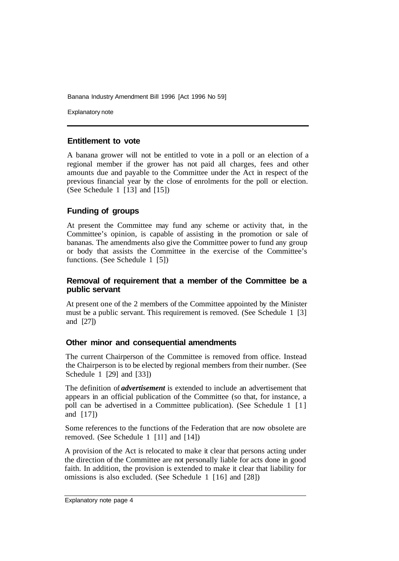Explanatory note

#### **Entitlement to vote**

A banana grower will not be entitled to vote in a poll or an election of a regional member if the grower has not paid all charges, fees and other amounts due and payable to the Committee under the Act in respect of the previous financial year by the close of enrolments for the poll or election. (See Schedule 1 [13] and [15])

### **Funding of groups**

At present the Committee may fund any scheme or activity that, in the Committee's opinion, is capable of assisting in the promotion or sale of bananas. The amendments also give the Committee power to fund any group or body that assists the Committee in the exercise of the Committee's functions. (See Schedule 1 [5])

#### **Removal of requirement that a member of the Committee be a public servant**

At present one of the 2 members of the Committee appointed by the Minister must be a public servant. This requirement is removed. (See Schedule 1 [3] and [27])

#### **Other minor and consequential amendments**

The current Chairperson of the Committee is removed from office. Instead the Chairperson is to be elected by regional members from their number. (See Schedule 1 [29] and [33])

The definition of *advertisement* is extended to include an advertisement that appears in an official publication of the Committee (so that, for instance, a poll can be advertised in a Committee publication). (See Schedule 1 [1] and [17])

Some references to the functions of the Federation that are now obsolete are removed. (See Schedule 1 [11] and [14])

A provision of the Act is relocated to make it clear that persons acting under the direction of the Committee are not personally liable for acts done in good faith. In addition, the provision is extended to make it clear that liability for omissions is also excluded. (See Schedule 1 [16] and [28])

Explanatory note page 4